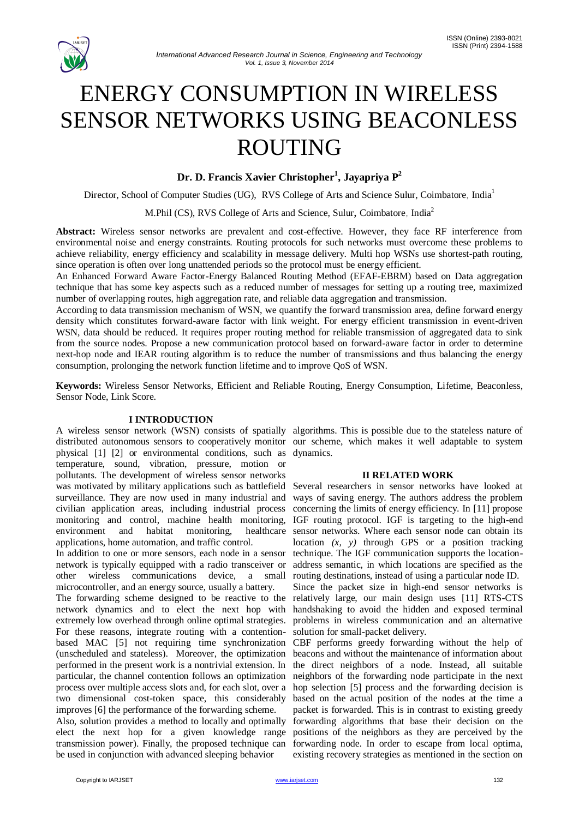

# ENERGY CONSUMPTION IN WIRELESS SENSOR NETWORKS USING BEACONLESS ROUTING

# **Dr. D. Francis Xavier Christopher<sup>1</sup> , Jayapriya P<sup>2</sup>**

Director, School of Computer Studies (UG), RVS College of Arts and Science Sulur, Coimbatore, India<sup>1</sup>

M.Phil (CS), RVS College of Arts and Science, Sulur, Coimbatore, India<sup>2</sup>

**Abstract:** Wireless sensor networks are prevalent and cost-effective. However, they face RF interference from environmental noise and energy constraints. Routing protocols for such networks must overcome these problems to achieve reliability, energy efficiency and scalability in message delivery. Multi hop WSNs use shortest-path routing, since operation is often over long unattended periods so the protocol must be energy efficient.

An Enhanced Forward Aware Factor-Energy Balanced Routing Method (EFAF-EBRM) based on Data aggregation technique that has some key aspects such as a reduced number of messages for setting up a routing tree, maximized number of overlapping routes, high aggregation rate, and reliable data aggregation and transmission.

According to data transmission mechanism of WSN, we quantify the forward transmission area, define forward energy density which constitutes forward-aware factor with link weight. For energy efficient transmission in event-driven WSN, data should be reduced. It requires proper routing method for reliable transmission of aggregated data to sink from the source nodes. Propose a new communication protocol based on forward-aware factor in order to determine next-hop node and IEAR routing algorithm is to reduce the number of transmissions and thus balancing the energy consumption, prolonging the network function lifetime and to improve QoS of WSN.

**Keywords:** Wireless Sensor Networks, Efficient and Reliable Routing, Energy Consumption, Lifetime, Beaconless, Sensor Node, Link Score.

# **I INTRODUCTION**

A wireless sensor network (WSN) consists of spatially algorithms. This is possible due to the stateless nature of distributed autonomous sensors to cooperatively monitor our scheme, which makes it well adaptable to system physical [1] [2] or environmental conditions, such as dynamics. temperature, sound, vibration, pressure, motion or pollutants. The development of wireless sensor networks was motivated by military applications such as battlefield Several researchers in sensor networks have looked at surveillance. They are now used in many industrial and civilian application areas, including industrial process monitoring and control, machine health monitoring, environment and habitat monitoring, healthcare applications, home automation, and traffic control.

In addition to one or more sensors, each node in a sensor network is typically equipped with a radio transceiver or other wireless communications device, a small microcontroller, and an energy source, usually a battery.

The forwarding scheme designed to be reactive to the network dynamics and to elect the next hop with extremely low overhead through online optimal strategies. For these reasons, integrate routing with a contentionbased MAC [5] not requiring time synchronization (unscheduled and stateless). Moreover, the optimization performed in the present work is a nontrivial extension. In particular, the channel contention follows an optimization process over multiple access slots and, for each slot, over a hop selection [5] process and the forwarding decision is two dimensional cost-token space, this considerably improves [6] the performance of the forwarding scheme.

Also, solution provides a method to locally and optimally elect the next hop for a given knowledge range positions of the neighbors as they are perceived by the transmission power). Finally, the proposed technique can forwarding node. In order to escape from local optima, be used in conjunction with advanced sleeping behavior

### **II RELATED WORK**

ways of saving energy. The authors address the problem concerning the limits of energy efficiency. In [11] propose IGF routing protocol. IGF is targeting to the high-end sensor networks. Where each sensor node can obtain its location *(x, y)* through GPS or a position tracking technique. The IGF communication supports the locationaddress semantic, in which locations are specified as the routing destinations, instead of using a particular node ID.

Since the packet size in high-end sensor networks is relatively large, our main design uses [11] RTS-CTS handshaking to avoid the hidden and exposed terminal problems in wireless communication and an alternative solution for small-packet delivery.

CBF performs greedy forwarding without the help of beacons and without the maintenance of information about the direct neighbors of a node. Instead, all suitable neighbors of the forwarding node participate in the next based on the actual position of the nodes at the time a packet is forwarded. This is in contrast to existing greedy forwarding algorithms that base their decision on the existing recovery strategies as mentioned in the section on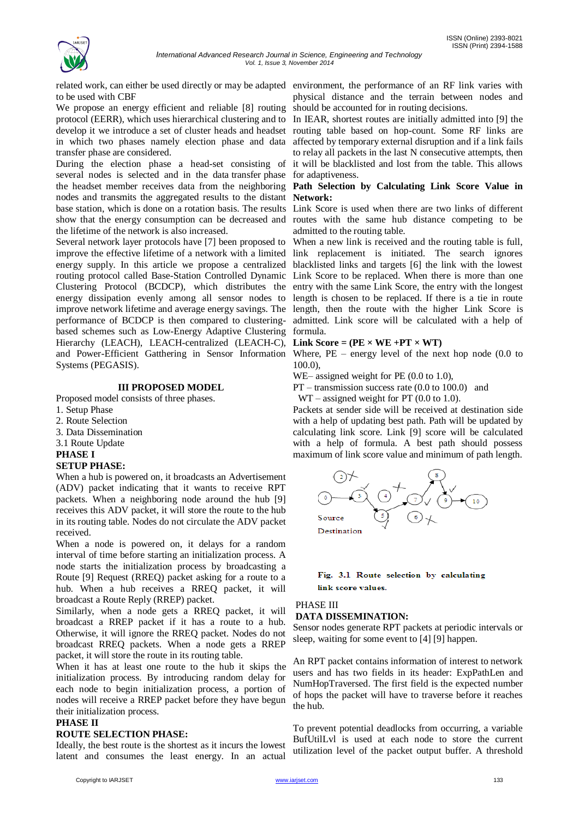

related work, can either be used directly or may be adapted environment, the performance of an RF link varies with to be used with CBF

We propose an energy efficient and reliable [8] routing protocol (EERR), which uses hierarchical clustering and to In IEAR, shortest routes are initially admitted into [9] the develop it we introduce a set of cluster heads and headset routing table based on hop-count. Some RF links are in which two phases namely election phase and data transfer phase are considered.

During the election phase a head-set consisting of it will be blacklisted and lost from the table. This allows several nodes is selected and in the data transfer phase for adaptiveness. the headset member receives data from the neighboring **Path Selection by Calculating Link Score Value in**  nodes and transmits the aggregated results to the distant **Network:** base station, which is done on a rotation basis. The results Link Score is used when there are two links of different show that the energy consumption can be decreased and routes with the same hub distance competing to be the lifetime of the network is also increased.

Several network layer protocols have [7] been proposed to improve the effective lifetime of a network with a limited link replacement is initiated. The search ignores energy supply. In this article we propose a centralized blacklisted links and targets [6] the link with the lowest routing protocol called Base-Station Controlled Dynamic Link Score to be replaced. When there is more than one Clustering Protocol (BCDCP), which distributes the entry with the same Link Score, the entry with the longest energy dissipation evenly among all sensor nodes to improve network lifetime and average energy savings. The length, then the route with the higher Link Score is performance of BCDCP is then compared to clusteringbased schemes such as Low-Energy Adaptive Clustering Hierarchy (LEACH), LEACH-centralized (LEACH-C), Link Score =  $(PE \times WE + PT \times WT)$ and Power-Efficient Gatthering in Sensor Information Where, PE – energy level of the next hop node (0.0 to Systems (PEGASIS).

### **III PROPOSED MODEL**

Proposed model consists of three phases.

- 1. Setup Phase
- 2. Route Selection
- 3. Data Dissemination
- 3.1 Route Update

### **PHASE I**

### **SETUP PHASE:**

When a hub is powered on, it broadcasts an Advertisement (ADV) packet indicating that it wants to receive RPT packets. When a neighboring node around the hub [9] receives this ADV packet, it will store the route to the hub in its routing table. Nodes do not circulate the ADV packet received.

When a node is powered on, it delays for a random interval of time before starting an initialization process. A node starts the initialization process by broadcasting a Route [9] Request (RREQ) packet asking for a route to a hub. When a hub receives a RREQ packet, it will broadcast a Route Reply (RREP) packet.

Similarly, when a node gets a RREQ packet, it will broadcast a RREP packet if it has a route to a hub. Otherwise, it will ignore the RREQ packet. Nodes do not broadcast RREQ packets. When a node gets a RREP packet, it will store the route in its routing table.

When it has at least one route to the hub it skips the initialization process. By introducing random delay for each node to begin initialization process, a portion of nodes will receive a RREP packet before they have begun their initialization process.

### **PHASE II**

### **ROUTE SELECTION PHASE:**

Ideally, the best route is the shortest as it incurs the lowest latent and consumes the least energy. In an actual

physical distance and the terrain between nodes and should be accounted for in routing decisions.

affected by temporary external disruption and if a link fails to relay all packets in the last N consecutive attempts, then

admitted to the routing table.

When a new link is received and the routing table is full, length is chosen to be replaced. If there is a tie in route admitted. Link score will be calculated with a help of formula.

100.0),

WE– assigned weight for PE  $(0.0 \text{ to } 1.0)$ ,

PT – transmission success rate (0.0 to 100.0) and

 $WT - assigned weight for PT (0.0 to 1.0).$ 

Packets at sender side will be received at destination side with a help of updating best path. Path will be updated by calculating link score. Link [9] score will be calculated with a help of formula. A best path should possess maximum of link score value and minimum of path length.



### Fig. 3.1 Route selection by calculating link score values.

### PHASE III **DATA DISSEMINATION:**

Sensor nodes generate RPT packets at periodic intervals or sleep, waiting for some event to [4] [9] happen.

An RPT packet contains information of interest to network users and has two fields in its header: ExpPathLen and NumHopTraversed. The first field is the expected number of hops the packet will have to traverse before it reaches the hub.

To prevent potential deadlocks from occurring, a variable BufUtilLvl is used at each node to store the current utilization level of the packet output buffer. A threshold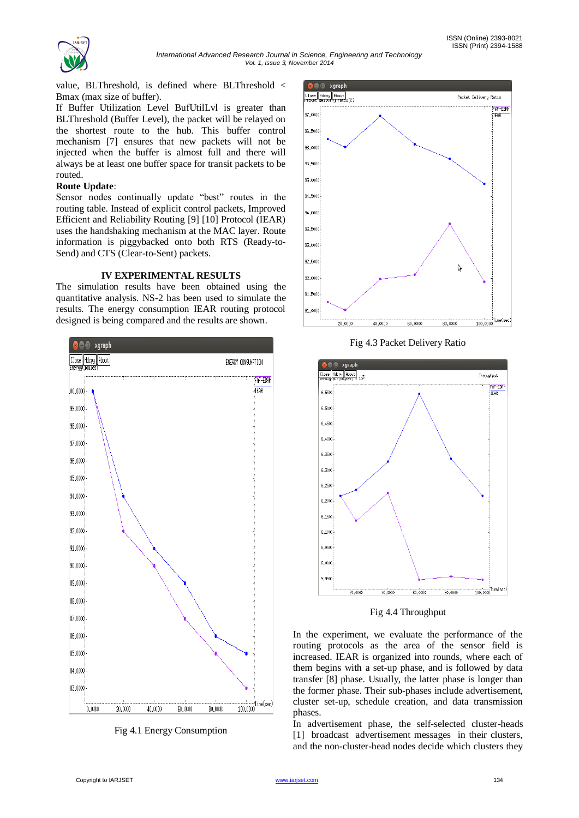

value, BLThreshold, is defined where BLThreshold < Bmax (max size of buffer).

If Buffer Utilization Level BufUtilLvl is greater than BLThreshold (Buffer Level), the packet will be relayed on the shortest route to the hub. This buffer control mechanism [7] ensures that new packets will not be injected when the buffer is almost full and there will always be at least one buffer space for transit packets to be routed.

### **Route Update**:

Sensor nodes continually update "best" routes in the routing table. Instead of explicit control packets, Improved Efficient and Reliability Routing [9] [10] Protocol (IEAR) uses the handshaking mechanism at the MAC layer. Route information is piggybacked onto both RTS (Ready-to-Send) and CTS (Clear-to-Sent) packets.

### **IV EXPERIMENTAL RESULTS**

The simulation results have been obtained using the quantitative analysis. NS-2 has been used to simulate the results. The energy consumption IEAR routing protocol designed is being compared and the results are shown.







Fig 4.3 Packet Delivery Ratio



Fig 4.4 Throughput

In the experiment, we evaluate the performance of the routing protocols as the area of the sensor field is increased. IEAR is organized into rounds, where each of them begins with a set-up phase, and is followed by data transfer [8] phase. Usually, the latter phase is longer than the former phase. Their sub-phases include advertisement, cluster set-up, schedule creation, and data transmission phases.

In advertisement phase, the self-selected cluster-heads [1] broadcast advertisement messages in their clusters, and the non-cluster-head nodes decide which clusters they